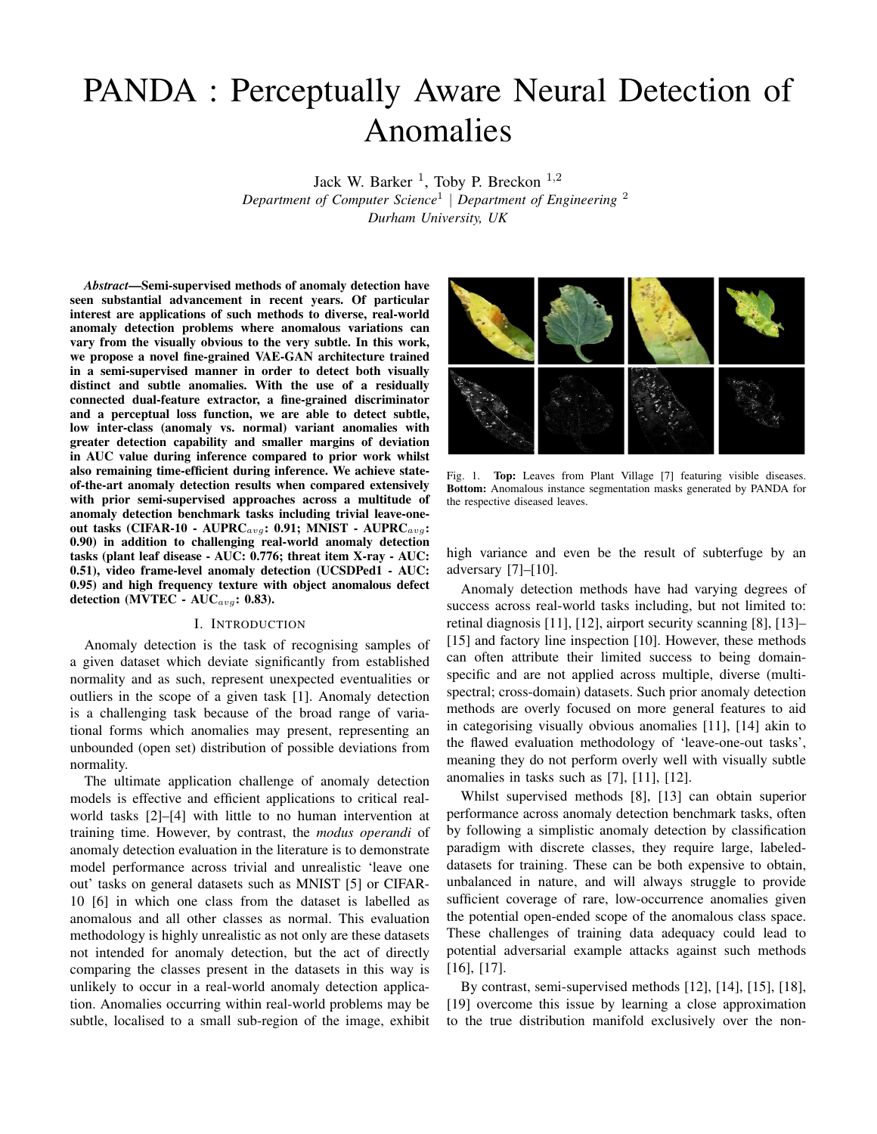# PANDA : Perceptually Aware Neural Detection of Anomalies

Jack W. Barker<sup>1</sup>, Toby P. Breckon<sup>1,2</sup> *Department of Computer Science*<sup>1</sup> | *Department of Engineering* <sup>2</sup> *Durham University, UK*

*Abstract*—Semi-supervised methods of anomaly detection have seen substantial advancement in recent years. Of particular interest are applications of such methods to diverse, real-world anomaly detection problems where anomalous variations can vary from the visually obvious to the very subtle. In this work, we propose a novel fine-grained VAE-GAN architecture trained in a semi-supervised manner in order to detect both visually distinct and subtle anomalies. With the use of a residually connected dual-feature extractor, a fine-grained discriminator and a perceptual loss function, we are able to detect subtle, low inter-class (anomaly vs. normal) variant anomalies with greater detection capability and smaller margins of deviation in AUC value during inference compared to prior work whilst also remaining time-efficient during inference. We achieve stateof-the-art anomaly detection results when compared extensively with prior semi-supervised approaches across a multitude of anomaly detection benchmark tasks including trivial leave-oneout tasks (CIFAR-10 - AUPRC<sub>avg</sub>: 0.91; MNIST - AUPRC<sub>avg</sub>: 0.90) in addition to challenging real-world anomaly detection tasks (plant leaf disease - AUC: 0.776; threat item X-ray - AUC: 0.51), video frame-level anomaly detection (UCSDPed1 - AUC: 0.95) and high frequency texture with object anomalous defect detection (MVTEC -  $AUC_{avg}$ : 0.83).

## I. INTRODUCTION

Anomaly detection is the task of recognising samples of a given dataset which deviate significantly from established normality and as such, represent unexpected eventualities or outliers in the scope of a given task [1]. Anomaly detection is a challenging task because of the broad range of variational forms which anomalies may present, representing an unbounded (open set) distribution of possible deviations from normality.

The ultimate application challenge of anomaly detection models is effective and efficient applications to critical realworld tasks [2]–[4] with little to no human intervention at training time. However, by contrast, the *modus operandi* of anomaly detection evaluation in the literature is to demonstrate model performance across trivial and unrealistic 'leave one out' tasks on general datasets such as MNIST [5] or CIFAR-10 [6] in which one class from the dataset is labelled as anomalous and all other classes as normal. This evaluation methodology is highly unrealistic as not only are these datasets not intended for anomaly detection, but the act of directly comparing the classes present in the datasets in this way is unlikely to occur in a real-world anomaly detection application. Anomalies occurring within real-world problems may be subtle, localised to a small sub-region of the image, exhibit



Fig. 1. Top: Leaves from Plant Village [7] featuring visible diseases. Bottom: Anomalous instance segmentation masks generated by PANDA for the respective diseased leaves.

high variance and even be the result of subterfuge by an adversary [7]–[10].

Anomaly detection methods have had varying degrees of success across real-world tasks including, but not limited to: retinal diagnosis [11], [12], airport security scanning [8], [13]– [15] and factory line inspection [10]. However, these methods can often attribute their limited success to being domainspecific and are not applied across multiple, diverse (multispectral; cross-domain) datasets. Such prior anomaly detection methods are overly focused on more general features to aid in categorising visually obvious anomalies [11], [14] akin to the flawed evaluation methodology of 'leave-one-out tasks', meaning they do not perform overly well with visually subtle anomalies in tasks such as [7], [11], [12].

Whilst supervised methods [8], [13] can obtain superior performance across anomaly detection benchmark tasks, often by following a simplistic anomaly detection by classification paradigm with discrete classes, they require large, labeleddatasets for training. These can be both expensive to obtain, unbalanced in nature, and will always struggle to provide sufficient coverage of rare, low-occurrence anomalies given the potential open-ended scope of the anomalous class space. These challenges of training data adequacy could lead to potential adversarial example attacks against such methods [16], [17].

By contrast, semi-supervised methods [12], [14], [15], [18], [19] overcome this issue by learning a close approximation to the true distribution manifold exclusively over the non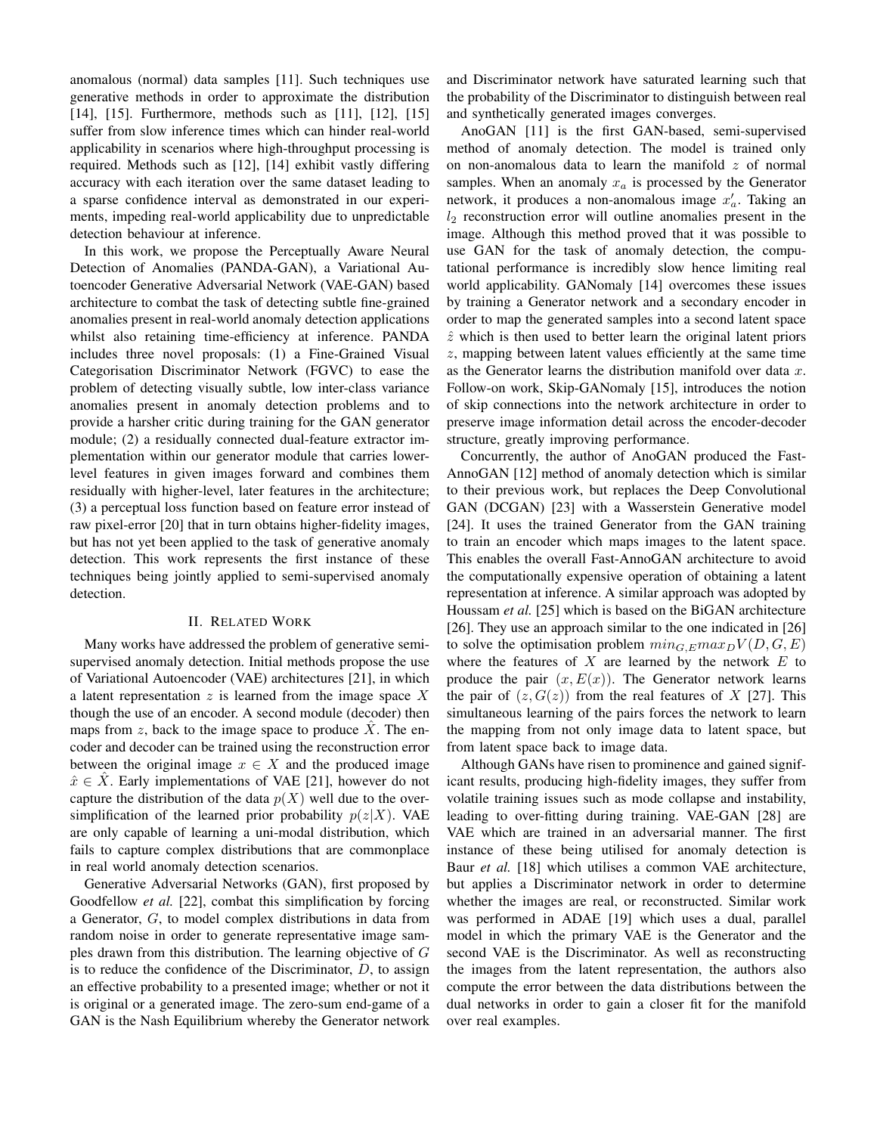anomalous (normal) data samples [11]. Such techniques use generative methods in order to approximate the distribution [14], [15]. Furthermore, methods such as [11], [12], [15] suffer from slow inference times which can hinder real-world applicability in scenarios where high-throughput processing is required. Methods such as [12], [14] exhibit vastly differing accuracy with each iteration over the same dataset leading to a sparse confidence interval as demonstrated in our experiments, impeding real-world applicability due to unpredictable detection behaviour at inference.

In this work, we propose the Perceptually Aware Neural Detection of Anomalies (PANDA-GAN), a Variational Autoencoder Generative Adversarial Network (VAE-GAN) based architecture to combat the task of detecting subtle fine-grained anomalies present in real-world anomaly detection applications whilst also retaining time-efficiency at inference. PANDA includes three novel proposals: (1) a Fine-Grained Visual Categorisation Discriminator Network (FGVC) to ease the problem of detecting visually subtle, low inter-class variance anomalies present in anomaly detection problems and to provide a harsher critic during training for the GAN generator module; (2) a residually connected dual-feature extractor implementation within our generator module that carries lowerlevel features in given images forward and combines them residually with higher-level, later features in the architecture; (3) a perceptual loss function based on feature error instead of raw pixel-error [20] that in turn obtains higher-fidelity images, but has not yet been applied to the task of generative anomaly detection. This work represents the first instance of these techniques being jointly applied to semi-supervised anomaly detection.

## II. RELATED WORK

Many works have addressed the problem of generative semisupervised anomaly detection. Initial methods propose the use of Variational Autoencoder (VAE) architectures [21], in which a latent representation  $z$  is learned from the image space  $X$ though the use of an encoder. A second module (decoder) then maps from z, back to the image space to produce  $\ddot{X}$ . The encoder and decoder can be trained using the reconstruction error between the original image  $x \in X$  and the produced image  $\hat{x} \in X$ . Early implementations of VAE [21], however do not capture the distribution of the data  $p(X)$  well due to the oversimplification of the learned prior probability  $p(z|X)$ . VAE are only capable of learning a uni-modal distribution, which fails to capture complex distributions that are commonplace in real world anomaly detection scenarios.

Generative Adversarial Networks (GAN), first proposed by Goodfellow *et al.* [22], combat this simplification by forcing a Generator, G, to model complex distributions in data from random noise in order to generate representative image samples drawn from this distribution. The learning objective of G is to reduce the confidence of the Discriminator,  $D$ , to assign an effective probability to a presented image; whether or not it is original or a generated image. The zero-sum end-game of a GAN is the Nash Equilibrium whereby the Generator network and Discriminator network have saturated learning such that the probability of the Discriminator to distinguish between real and synthetically generated images converges.

AnoGAN [11] is the first GAN-based, semi-supervised method of anomaly detection. The model is trained only on non-anomalous data to learn the manifold  $z$  of normal samples. When an anomaly  $x_a$  is processed by the Generator network, it produces a non-anomalous image  $x'_a$ . Taking an  $l_2$  reconstruction error will outline anomalies present in the image. Although this method proved that it was possible to use GAN for the task of anomaly detection, the computational performance is incredibly slow hence limiting real world applicability. GANomaly [14] overcomes these issues by training a Generator network and a secondary encoder in order to map the generated samples into a second latent space  $\hat{z}$  which is then used to better learn the original latent priors z, mapping between latent values efficiently at the same time as the Generator learns the distribution manifold over data  $x$ . Follow-on work, Skip-GANomaly [15], introduces the notion of skip connections into the network architecture in order to preserve image information detail across the encoder-decoder structure, greatly improving performance.

Concurrently, the author of AnoGAN produced the Fast-AnnoGAN [12] method of anomaly detection which is similar to their previous work, but replaces the Deep Convolutional GAN (DCGAN) [23] with a Wasserstein Generative model [24]. It uses the trained Generator from the GAN training to train an encoder which maps images to the latent space. This enables the overall Fast-AnnoGAN architecture to avoid the computationally expensive operation of obtaining a latent representation at inference. A similar approach was adopted by Houssam *et al.* [25] which is based on the BiGAN architecture [26]. They use an approach similar to the one indicated in [26] to solve the optimisation problem  $min_{G, E} max_D V(D, G, E)$ where the features of  $X$  are learned by the network  $E$  to produce the pair  $(x, E(x))$ . The Generator network learns the pair of  $(z, G(z))$  from the real features of X [27]. This simultaneous learning of the pairs forces the network to learn the mapping from not only image data to latent space, but from latent space back to image data.

Although GANs have risen to prominence and gained significant results, producing high-fidelity images, they suffer from volatile training issues such as mode collapse and instability, leading to over-fitting during training. VAE-GAN [28] are VAE which are trained in an adversarial manner. The first instance of these being utilised for anomaly detection is Baur *et al.* [18] which utilises a common VAE architecture, but applies a Discriminator network in order to determine whether the images are real, or reconstructed. Similar work was performed in ADAE [19] which uses a dual, parallel model in which the primary VAE is the Generator and the second VAE is the Discriminator. As well as reconstructing the images from the latent representation, the authors also compute the error between the data distributions between the dual networks in order to gain a closer fit for the manifold over real examples.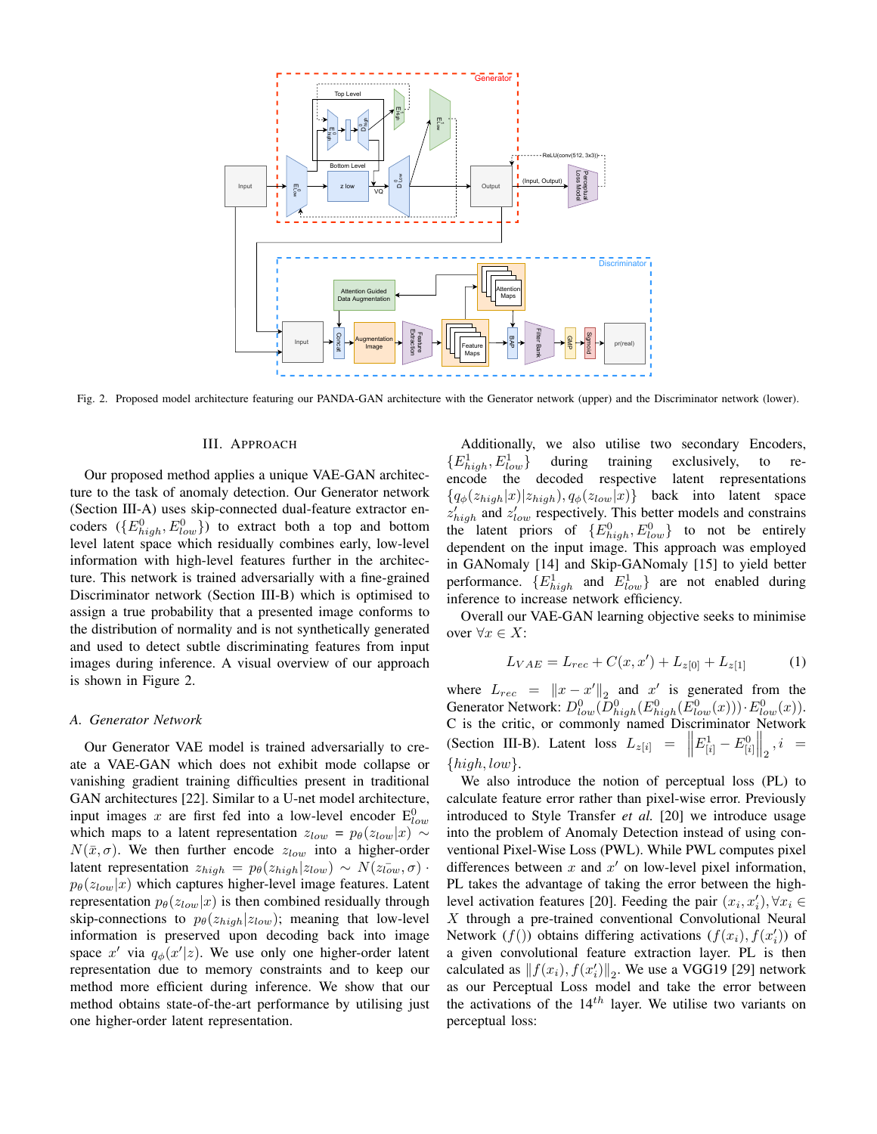

Fig. 2. Proposed model architecture featuring our PANDA-GAN architecture with the Generator network (upper) and the Discriminator network (lower).

## III. APPROACH

Our proposed method applies a unique VAE-GAN architecture to the task of anomaly detection. Our Generator network (Section III-A) uses skip-connected dual-feature extractor encoders  $(\{E_{high}^0, E_{low}^0\})$  to extract both a top and bottom level latent space which residually combines early, low-level information with high-level features further in the architecture. This network is trained adversarially with a fine-grained Discriminator network (Section III-B) which is optimised to assign a true probability that a presented image conforms to the distribution of normality and is not synthetically generated and used to detect subtle discriminating features from input images during inference. A visual overview of our approach is shown in Figure 2.

#### *A. Generator Network*

Our Generator VAE model is trained adversarially to create a VAE-GAN which does not exhibit mode collapse or vanishing gradient training difficulties present in traditional GAN architectures [22]. Similar to a U-net model architecture, input images x are first fed into a low-level encoder  $E_{low}^0$ which maps to a latent representation  $z_{low} = p_{\theta}(z_{low}|x) \sim$  $N(\bar{x}, \sigma)$ . We then further encode  $z_{low}$  into a higher-order latent representation  $z_{high} = p_{\theta}(z_{high}|z_{low}) \sim N(z_{low}^-, \sigma)$ .  $p_{\theta}(z_{low}|x)$  which captures higher-level image features. Latent representation  $p_{\theta}(z_{low}|x)$  is then combined residually through skip-connections to  $p_{\theta}(z_{high}|z_{low})$ ; meaning that low-level information is preserved upon decoding back into image space x' via  $q_{\phi}(x'|z)$ . We use only one higher-order latent representation due to memory constraints and to keep our method more efficient during inference. We show that our method obtains state-of-the-art performance by utilising just one higher-order latent representation.

Additionally, we also utilise two secondary Encoders,  ${E}_{high}^{1}, E_{low}^{1}$  during training exclusively, to reencode the decoded respective latent representations  ${q_{\phi}(z_{high}|x)|z_{high}}$ ,  $q_{\phi}(z_{low}|x)$ } back into latent space  $z'_{high}$  and  $z'_{low}$  respectively. This better models and constrains the latent priors of  ${E}_{high}^{0}, E_{low}^{0}$  to not be entirely dependent on the input image. This approach was employed in GANomaly [14] and Skip-GANomaly [15] to yield better performance.  $\{E_{high}^1$  and  $E_{low}^1\}$  are not enabled during inference to increase network efficiency.

Overall our VAE-GAN learning objective seeks to minimise over  $∀x ∈ X$ :

$$
L_{VAE} = L_{rec} + C(x, x') + L_{z[0]} + L_{z[1]}
$$
 (1)

where  $L_{rec} = ||x - x'||_2$  and  $x'$  is generated from the Generator Network:  $D^0_{low}(\overline{D^0_{high}}(E^0_{high}(E^0_{low}(x))) \cdot E^0_{low}(x)).$ C is the critic, or commonly named Discriminator Network (Section III-B). Latent loss  $L_{z[i]} = ||E_{[i]}^1 - E_{[i]}^0||_2, i =$  $\{high, low\}.$ 

We also introduce the notion of perceptual loss (PL) to calculate feature error rather than pixel-wise error. Previously introduced to Style Transfer *et al.* [20] we introduce usage into the problem of Anomaly Detection instead of using conventional Pixel-Wise Loss (PWL). While PWL computes pixel differences between  $x$  and  $x'$  on low-level pixel information, PL takes the advantage of taking the error between the highlevel activation features [20]. Feeding the pair  $(x_i, x'_i)$ ,  $\forall x_i \in$  $X$  through a pre-trained conventional Convolutional Neural Network  $(f()$ ) obtains differing activations  $(f(x_i), f(x'_i))$  of a given convolutional feature extraction layer. PL is then calculated as  $|| f(x_i), f(x_i') ||_2$ . We use a VGG19 [29] network as our Perceptual Loss model and take the error between the activations of the  $14^{th}$  layer. We utilise two variants on perceptual loss: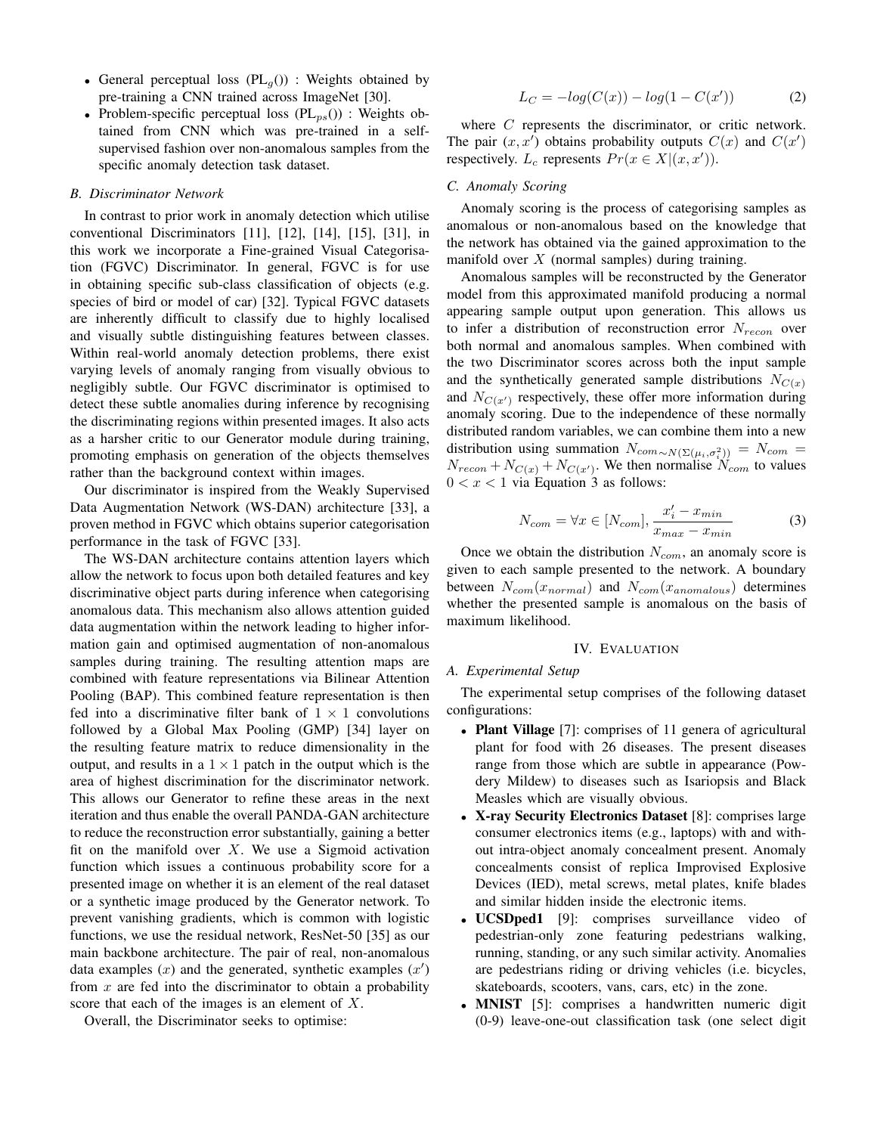- General perceptual loss  $(PL_q()):$  Weights obtained by pre-training a CNN trained across ImageNet [30].
- Problem-specific perceptual loss  $(PL_{ps}())$  : Weights obtained from CNN which was pre-trained in a selfsupervised fashion over non-anomalous samples from the specific anomaly detection task dataset.

#### *B. Discriminator Network*

In contrast to prior work in anomaly detection which utilise conventional Discriminators [11], [12], [14], [15], [31], in this work we incorporate a Fine-grained Visual Categorisation (FGVC) Discriminator. In general, FGVC is for use in obtaining specific sub-class classification of objects (e.g. species of bird or model of car) [32]. Typical FGVC datasets are inherently difficult to classify due to highly localised and visually subtle distinguishing features between classes. Within real-world anomaly detection problems, there exist varying levels of anomaly ranging from visually obvious to negligibly subtle. Our FGVC discriminator is optimised to detect these subtle anomalies during inference by recognising the discriminating regions within presented images. It also acts as a harsher critic to our Generator module during training, promoting emphasis on generation of the objects themselves rather than the background context within images.

Our discriminator is inspired from the Weakly Supervised Data Augmentation Network (WS-DAN) architecture [33], a proven method in FGVC which obtains superior categorisation performance in the task of FGVC [33].

The WS-DAN architecture contains attention layers which allow the network to focus upon both detailed features and key discriminative object parts during inference when categorising anomalous data. This mechanism also allows attention guided data augmentation within the network leading to higher information gain and optimised augmentation of non-anomalous samples during training. The resulting attention maps are combined with feature representations via Bilinear Attention Pooling (BAP). This combined feature representation is then fed into a discriminative filter bank of  $1 \times 1$  convolutions followed by a Global Max Pooling (GMP) [34] layer on the resulting feature matrix to reduce dimensionality in the output, and results in a  $1 \times 1$  patch in the output which is the area of highest discrimination for the discriminator network. This allows our Generator to refine these areas in the next iteration and thus enable the overall PANDA-GAN architecture to reduce the reconstruction error substantially, gaining a better fit on the manifold over  $X$ . We use a Sigmoid activation function which issues a continuous probability score for a presented image on whether it is an element of the real dataset or a synthetic image produced by the Generator network. To prevent vanishing gradients, which is common with logistic functions, we use the residual network, ResNet-50 [35] as our main backbone architecture. The pair of real, non-anomalous data examples  $(x)$  and the generated, synthetic examples  $(x')$ from  $x$  are fed into the discriminator to obtain a probability score that each of the images is an element of X.

Overall, the Discriminator seeks to optimise:

$$
L_C = -log(C(x)) - log(1 - C(x'))
$$
 (2)

where C represents the discriminator, or critic network. The pair  $(x, x')$  obtains probability outputs  $C(x)$  and  $C(x')$ respectively.  $L_c$  represents  $Pr(x \in X | (x, x'))$ .

## *C. Anomaly Scoring*

Anomaly scoring is the process of categorising samples as anomalous or non-anomalous based on the knowledge that the network has obtained via the gained approximation to the manifold over  $X$  (normal samples) during training.

Anomalous samples will be reconstructed by the Generator model from this approximated manifold producing a normal appearing sample output upon generation. This allows us to infer a distribution of reconstruction error  $N_{recon}$  over both normal and anomalous samples. When combined with the two Discriminator scores across both the input sample and the synthetically generated sample distributions  $N_{C(x)}$ and  $N_{C(x')}$  respectively, these offer more information during anomaly scoring. Due to the independence of these normally distributed random variables, we can combine them into a new distribution using summation  $N_{com\sim N(\Sigma(\mu_i,\sigma_i^2))} = N_{com} =$  $N_{recon} + N_{C(x)} + N_{C(x')}$ . We then normalise  $N_{com}$  to values  $0 < x < 1$  via Equation 3 as follows:

$$
N_{com} = \forall x \in [N_{com}], \frac{x'_i - x_{min}}{x_{max} - x_{min}} \tag{3}
$$

Once we obtain the distribution  $N_{com}$ , an anomaly score is given to each sample presented to the network. A boundary between  $N_{com}(x_{normal})$  and  $N_{com}(x_{anomalous})$  determines whether the presented sample is anomalous on the basis of maximum likelihood.

#### IV. EVALUATION

### *A. Experimental Setup*

The experimental setup comprises of the following dataset configurations:

- Plant Village [7]: comprises of 11 genera of agricultural plant for food with 26 diseases. The present diseases range from those which are subtle in appearance (Powdery Mildew) to diseases such as Isariopsis and Black Measles which are visually obvious.
- X-ray Security Electronics Dataset [8]: comprises large consumer electronics items (e.g., laptops) with and without intra-object anomaly concealment present. Anomaly concealments consist of replica Improvised Explosive Devices (IED), metal screws, metal plates, knife blades and similar hidden inside the electronic items.
- UCSDped1 [9]: comprises surveillance video of pedestrian-only zone featuring pedestrians walking, running, standing, or any such similar activity. Anomalies are pedestrians riding or driving vehicles (i.e. bicycles, skateboards, scooters, vans, cars, etc) in the zone.
- **MNIST** [5]: comprises a handwritten numeric digit (0-9) leave-one-out classification task (one select digit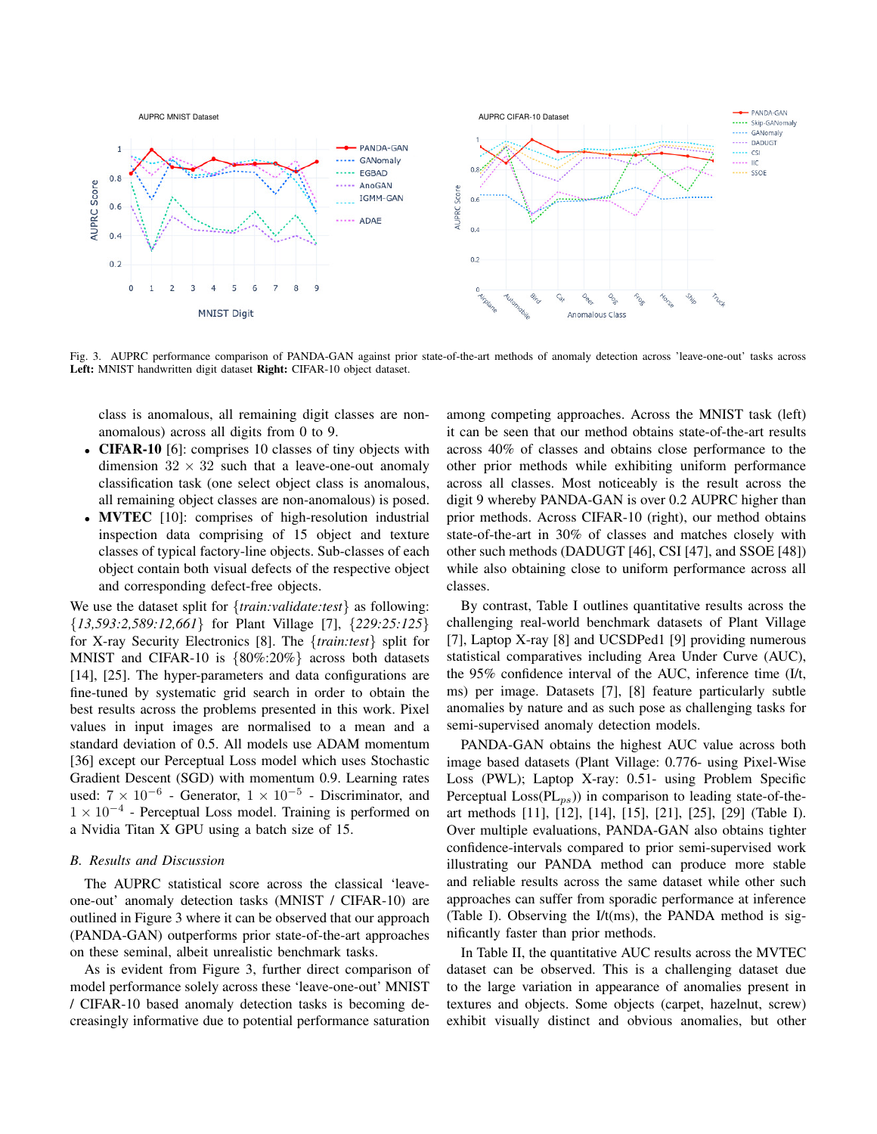

Fig. 3. AUPRC performance comparison of PANDA-GAN against prior state-of-the-art methods of anomaly detection across 'leave-one-out' tasks across Left: MNIST handwritten digit dataset Right: CIFAR-10 object dataset.

class is anomalous, all remaining digit classes are nonanomalous) across all digits from 0 to 9.

- **CIFAR-10** [6]: comprises 10 classes of tiny objects with dimension  $32 \times 32$  such that a leave-one-out anomaly classification task (one select object class is anomalous, all remaining object classes are non-anomalous) is posed.
- MVTEC [10]: comprises of high-resolution industrial inspection data comprising of 15 object and texture classes of typical factory-line objects. Sub-classes of each object contain both visual defects of the respective object and corresponding defect-free objects.

We use the dataset split for {*train:validate:test*} as following: {*13,593:2,589:12,661*} for Plant Village [7], {*229:25:125*} for X-ray Security Electronics [8]. The {*train:test*} split for MNIST and CIFAR-10 is {80%:20%} across both datasets [14], [25]. The hyper-parameters and data configurations are fine-tuned by systematic grid search in order to obtain the best results across the problems presented in this work. Pixel values in input images are normalised to a mean and a standard deviation of 0.5. All models use ADAM momentum [36] except our Perceptual Loss model which uses Stochastic Gradient Descent (SGD) with momentum 0.9. Learning rates used:  $7 \times 10^{-6}$  - Generator,  $1 \times 10^{-5}$  - Discriminator, and 1 × 10<sup>−</sup><sup>4</sup> - Perceptual Loss model. Training is performed on a Nvidia Titan X GPU using a batch size of 15.

#### *B. Results and Discussion*

The AUPRC statistical score across the classical 'leaveone-out' anomaly detection tasks (MNIST / CIFAR-10) are outlined in Figure 3 where it can be observed that our approach (PANDA-GAN) outperforms prior state-of-the-art approaches on these seminal, albeit unrealistic benchmark tasks.

As is evident from Figure 3, further direct comparison of model performance solely across these 'leave-one-out' MNIST / CIFAR-10 based anomaly detection tasks is becoming decreasingly informative due to potential performance saturation among competing approaches. Across the MNIST task (left) it can be seen that our method obtains state-of-the-art results across 40% of classes and obtains close performance to the other prior methods while exhibiting uniform performance across all classes. Most noticeably is the result across the digit 9 whereby PANDA-GAN is over 0.2 AUPRC higher than prior methods. Across CIFAR-10 (right), our method obtains state-of-the-art in 30% of classes and matches closely with other such methods (DADUGT [46], CSI [47], and SSOE [48]) while also obtaining close to uniform performance across all classes.

By contrast, Table I outlines quantitative results across the challenging real-world benchmark datasets of Plant Village [7], Laptop X-ray [8] and UCSDPed1 [9] providing numerous statistical comparatives including Area Under Curve (AUC), the 95% confidence interval of the AUC, inference time (I/t, ms) per image. Datasets [7], [8] feature particularly subtle anomalies by nature and as such pose as challenging tasks for semi-supervised anomaly detection models.

PANDA-GAN obtains the highest AUC value across both image based datasets (Plant Village: 0.776- using Pixel-Wise Loss (PWL); Laptop X-ray: 0.51- using Problem Specific Perceptual  $Loss(PL_{ps})$  in comparison to leading state-of-theart methods [11], [12], [14], [15], [21], [25], [29] (Table I). Over multiple evaluations, PANDA-GAN also obtains tighter confidence-intervals compared to prior semi-supervised work illustrating our PANDA method can produce more stable and reliable results across the same dataset while other such approaches can suffer from sporadic performance at inference (Table I). Observing the I/t(ms), the PANDA method is significantly faster than prior methods.

In Table II, the quantitative AUC results across the MVTEC dataset can be observed. This is a challenging dataset due to the large variation in appearance of anomalies present in textures and objects. Some objects (carpet, hazelnut, screw) exhibit visually distinct and obvious anomalies, but other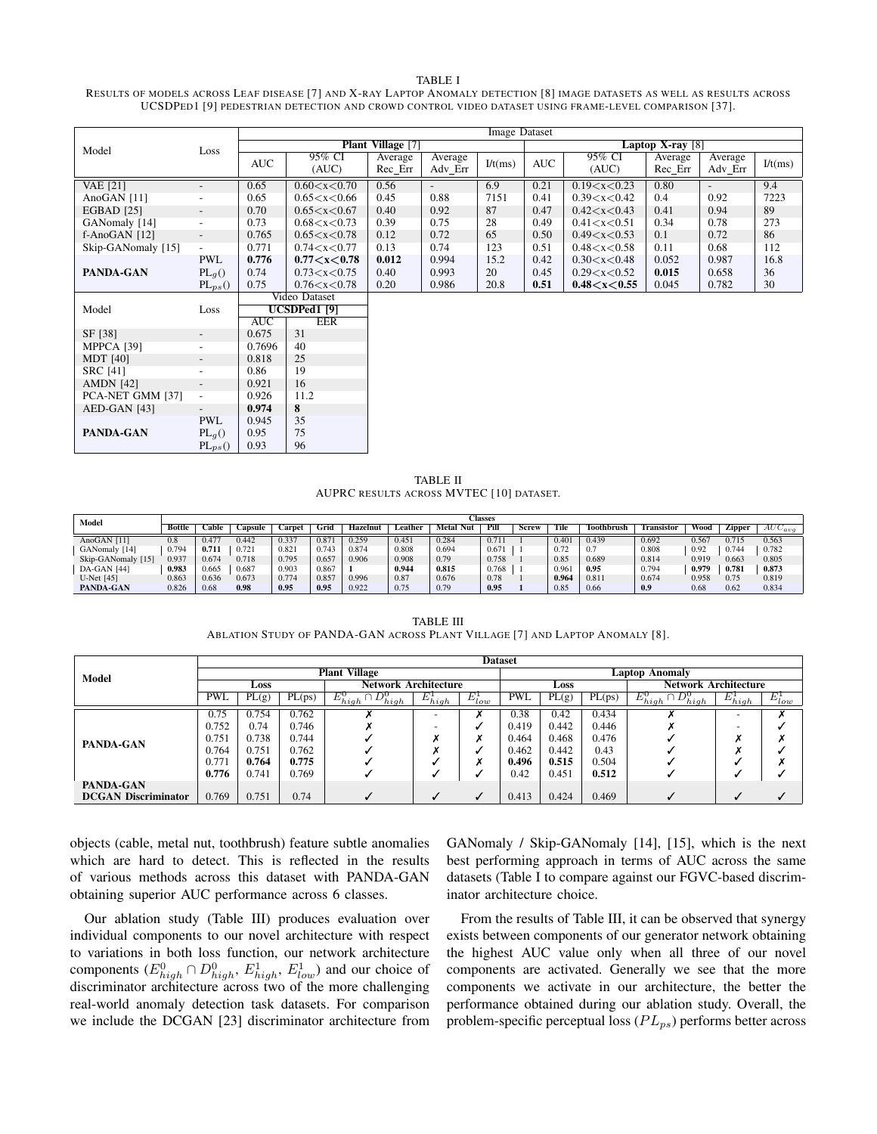#### TABLE I

RESULTS OF MODELS ACROSS LEAF DISEASE [7] AND X-RAY LAPTOP ANOMALY DETECTION [8] IMAGE DATASETS AS WELL AS RESULTS ACROSS UCSDPED1 [9] PEDESTRIAN DETECTION AND CROWD CONTROL VIDEO DATASET USING FRAME-LEVEL COMPARISON [37].

|                    |                          | <b>Image Dataset</b> |                         |                          |                          |                    |            |                 |         |                          |         |  |  |
|--------------------|--------------------------|----------------------|-------------------------|--------------------------|--------------------------|--------------------|------------|-----------------|---------|--------------------------|---------|--|--|
| Model              | Loss                     |                      |                         | <b>Plant Village</b> [7] |                          | Laptop X-ray $[8]$ |            |                 |         |                          |         |  |  |
|                    |                          | <b>AUC</b>           | 95% CI                  | Average                  | Average                  | I/t(ms)            | <b>AUC</b> | 95% CI          | Average | Average                  | I/t(ms) |  |  |
|                    |                          |                      | (AUC)                   | Rec Err                  | Adv Err                  |                    |            | (AUC)           | Rec Err | Adv Err                  |         |  |  |
| <b>VAE</b> [21]    | $\overline{\phantom{a}}$ | 0.65                 | 0.60 < x < 0.70         | 0.56                     | $\overline{\phantom{a}}$ | 6.9                | 0.21       | 0.19 < x < 0.23 | 0.80    | $\overline{\phantom{a}}$ | 9.4     |  |  |
| AnoGAN [11]        | $\overline{\phantom{a}}$ | 0.65                 | 0.65 < x < 0.66         | 0.45                     | 0.88                     | 7151               | 0.41       | 0.39 < x < 0.42 | 0.4     | 0.92                     | 7223    |  |  |
| <b>EGBAD</b> [25]  | $\overline{\phantom{a}}$ | 0.70                 | 0.65 < x < 0.67         | 0.40                     | 0.92                     | 87                 | 0.47       | 0.42 < x < 0.43 | 0.41    | 0.94                     | 89      |  |  |
| GANomaly [14]      | $\overline{\phantom{a}}$ | 0.73                 | 0.68 < x < 0.73         | 0.39                     | 0.75                     | 28                 | 0.49       | 0.41 < x < 0.51 | 0.34    | 0.78                     | 273     |  |  |
| $f$ -AnoGAN [12]   | $\overline{\phantom{a}}$ | 0.765                | 0.65 < x < 0.78         | 0.12                     | 0.72                     | 65                 | 0.50       | 0.49 < x < 0.53 | 0.1     | 0.72                     | 86      |  |  |
| Skip-GANomaly [15] | $\overline{\phantom{a}}$ | 0.771                | 0.74 < x < 0.77         | 0.13                     | 0.74                     | 123                | 0.51       | 0.48 < x < 0.58 | 0.11    | 0.68                     | 112     |  |  |
|                    | <b>PWL</b>               | 0.776                | 0.77 < x < 0.78         | 0.012                    | 0.994                    | 15.2               | 0.42       | 0.30 < x < 0.48 | 0.052   | 0.987                    | 16.8    |  |  |
| PANDA-GAN          | $PL_q()$                 | 0.74                 | 0.73 < x < 0.75         | 0.40                     | 0.993                    | 20                 | 0.45       | 0.29 < x < 0.52 | 0.015   | 0.658                    | 36      |  |  |
|                    | $PL_{ps}()$              | 0.75                 | 0.76 < x < 0.78         | 0.20                     | 0.986                    | 20.8               | 0.51       | 0.48 < x < 0.55 | 0.045   | 0.782                    | 30      |  |  |
|                    |                          |                      | Video Dataset           |                          |                          |                    |            |                 |         |                          |         |  |  |
| Model              | Loss                     |                      | UCSDPed1 <sup>[9]</sup> |                          |                          |                    |            |                 |         |                          |         |  |  |
|                    |                          | <b>AUC</b>           | <b>EER</b>              |                          |                          |                    |            |                 |         |                          |         |  |  |
| SF [38]            | $\overline{\phantom{a}}$ | 0.675                | 31                      |                          |                          |                    |            |                 |         |                          |         |  |  |
| MPPCA [39]         | $\overline{\phantom{a}}$ | 0.7696               | 40                      |                          |                          |                    |            |                 |         |                          |         |  |  |
| <b>MDT</b> [40]    | $\overline{\phantom{a}}$ | 0.818                | 25                      |                          |                          |                    |            |                 |         |                          |         |  |  |
| <b>SRC</b> [41]    | $\overline{\phantom{a}}$ | 0.86                 | 19                      |                          |                          |                    |            |                 |         |                          |         |  |  |
| <b>AMDN</b> [42]   | $\overline{\phantom{a}}$ | 0.921                | 16                      |                          |                          |                    |            |                 |         |                          |         |  |  |
| PCA-NET GMM [37]   | $\overline{\phantom{a}}$ | 0.926                | 11.2                    |                          |                          |                    |            |                 |         |                          |         |  |  |
| AED-GAN [43]       | $\overline{\phantom{a}}$ | 0.974                | 8                       |                          |                          |                    |            |                 |         |                          |         |  |  |
|                    | <b>PWL</b>               | 0.945                | 35                      |                          |                          |                    |            |                 |         |                          |         |  |  |
| PANDA-GAN          | $PL_q()$                 | 0.95                 | 75                      |                          |                          |                    |            |                 |         |                          |         |  |  |
|                    | $PL_{ps}()$              | 0.93                 | 96                      |                          |                          |                    |            |                 |         |                          |         |  |  |

TABLE II AUPRC RESULTS ACROSS MVTEC [10] DATASET.

| Model              |        | Classes |         |        |       |          |         |              |       |       |       |            |            |       |        |             |
|--------------------|--------|---------|---------|--------|-------|----------|---------|--------------|-------|-------|-------|------------|------------|-------|--------|-------------|
|                    | Bottle | `able   | Capsule | `arpet | Grid  | Hazelnut | ∟eather | Metal<br>Nut | Pill  | Screw | Tile  | Toothbrush | Fransistor | Wood  | Zipper | $AUC_{avg}$ |
| AnoGAN [11]        | 0.8    | 0.477   | 0.442   | 0.337  | 0.871 | 0.259    | 0.451   | 0.284        | 0.71  |       | 0.401 | 0.439      | 0.692      | 0.567 | 0.715  | 0.563       |
| GANomaly [14]      | 0.794  | 0.711   | 0.721   | 0.821  | 0.743 | 0.874    | 0.808   | 0.694        | 0.671 |       | 0.72  | 0.7        | 0.808      | 0.92  | 0.744  | 0.782       |
| Skip-GANomaly [15] | 0.937  | 0.674   | 0.718   | 0.795  | 0.657 | 0.906    | 0.908   | 0.79         | 0.758 |       | 0.85  | 0.689      | 0.814      | 0.919 | 0.663  | 0.805       |
| <b>DA-GAN</b> [44] | 0.983  | 0.665   | 0.687   | 0.903  | 0.867 |          | 0.944   | 0.815        | 0.768 |       | 0.961 | 0.95       | 0.794      | 0.979 | 0.781  | 0.873       |
| $U-Net$ [45]       | 0.863  | 0.636   | 0.673   | 0.774  | 0.857 | 0.996    | 0.87    | 0.676        | 0.78  |       | 0.964 | 0.811      | 0.674      | 0.958 | 0.75   | 0.819       |
| PANDA-GAN          | 0.826  | 0.68    | 0.98    | 0.95   | 0.95  | 0.922    | 0.75    | 0.79         | 0.95  |       | 0.85  | 0.66       | 0.9        | 0.68  | 0.62   | 0.834       |

TABLE III ABLATION STUDY OF PANDA-GAN ACROSS PLANT VILLAGE [7] AND LAPTOP ANOMALY [8].

| Model                      | <b>Dataset</b> |       |        |                              |              |                |            |       |        |                              |              |             |
|----------------------------|----------------|-------|--------|------------------------------|--------------|----------------|------------|-------|--------|------------------------------|--------------|-------------|
|                            |                |       |        | <b>Plant Village</b>         |              | Laptop Anomaly |            |       |        |                              |              |             |
|                            | Loss           |       |        | <b>Network Architecture</b>  |              |                | Loss       |       |        | <b>Network Architecture</b>  |              |             |
|                            | <b>PWL</b>     | PL(g) | PL(ps) | $E_{high}^0 \cap D_{high}^0$ | $E_{high}^1$ | $E^1_{low}$    | <b>PWL</b> | PL(g) | PL(ps) | $E_{high}^0 \cap D_{high}^0$ | $E_{high}^1$ | $E^1_{low}$ |
| PANDA-GAN                  | 0.75           | 0.754 | 0.762  |                              |              |                | 0.38       | 0.42  | 0.434  |                              | -            |             |
|                            | 0.752          | 0.74  | 0.746  |                              |              |                | 0.419      | 0.442 | 0.446  |                              |              |             |
|                            | 0.751          | 0.738 | 0.744  |                              |              |                | 0.464      | 0.468 | 0.476  |                              |              |             |
|                            | 0.764          | 0.751 | 0.762  |                              |              |                | 0.462      | 0.442 | 0.43   |                              |              |             |
|                            | 0.771          | 0.764 | 0.775  |                              |              |                | 0.496      | 0.515 | 0.504  |                              |              |             |
|                            | 0.776          | 0.741 | 0.769  |                              |              |                | 0.42       | 0.451 | 0.512  |                              |              |             |
| PANDA-GAN                  |                |       |        |                              |              |                |            |       |        |                              |              |             |
| <b>DCGAN Discriminator</b> | 0.769          | 0.751 | 0.74   |                              |              |                | 0.413      | 0.424 | 0.469  |                              |              |             |

objects (cable, metal nut, toothbrush) feature subtle anomalies which are hard to detect. This is reflected in the results of various methods across this dataset with PANDA-GAN obtaining superior AUC performance across 6 classes.

Our ablation study (Table III) produces evaluation over individual components to our novel architecture with respect to variations in both loss function, our network architecture components  $(E_{high}^0 \cap D_{high}^0, E_{high}^1, E_{low}^1)$  and our choice of discriminator architecture across two of the more challenging real-world anomaly detection task datasets. For comparison we include the DCGAN [23] discriminator architecture from GANomaly / Skip-GANomaly [14], [15], which is the next best performing approach in terms of AUC across the same datasets (Table I to compare against our FGVC-based discriminator architecture choice.

From the results of Table III, it can be observed that synergy exists between components of our generator network obtaining the highest AUC value only when all three of our novel components are activated. Generally we see that the more components we activate in our architecture, the better the performance obtained during our ablation study. Overall, the problem-specific perceptual loss  $(PL_{ps})$  performs better across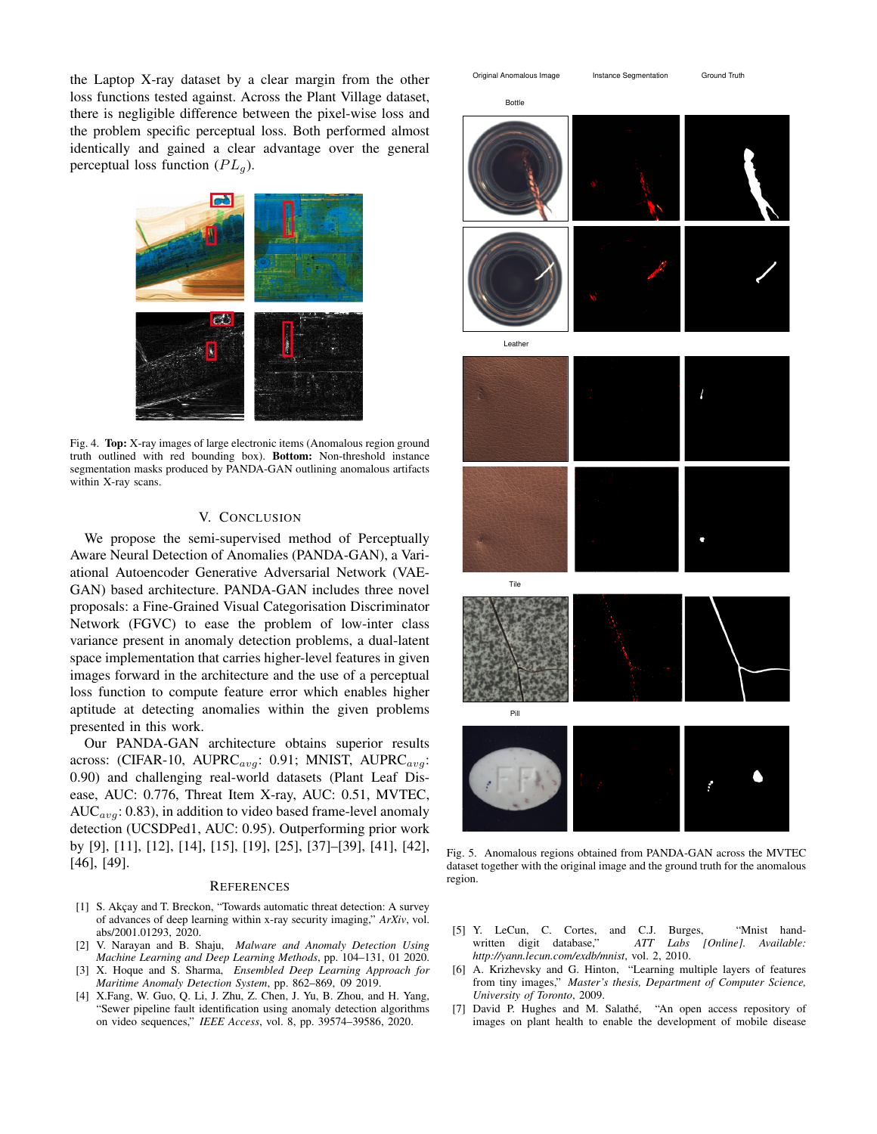the Laptop X-ray dataset by a clear margin from the other loss functions tested against. Across the Plant Village dataset, there is negligible difference between the pixel-wise loss and the problem specific perceptual loss. Both performed almost identically and gained a clear advantage over the general perceptual loss function  $(PL<sub>a</sub>)$ .



Fig. 4. Top: X-ray images of large electronic items (Anomalous region ground truth outlined with red bounding box). Bottom: Non-threshold instance segmentation masks produced by PANDA-GAN outlining anomalous artifacts within X-ray scans.

## V. CONCLUSION

We propose the semi-supervised method of Perceptually Aware Neural Detection of Anomalies (PANDA-GAN), a Variational Autoencoder Generative Adversarial Network (VAE-GAN) based architecture. PANDA-GAN includes three novel proposals: a Fine-Grained Visual Categorisation Discriminator Network (FGVC) to ease the problem of low-inter class variance present in anomaly detection problems, a dual-latent space implementation that carries higher-level features in given images forward in the architecture and the use of a perceptual loss function to compute feature error which enables higher aptitude at detecting anomalies within the given problems presented in this work.

Our PANDA-GAN architecture obtains superior results across: (CIFAR-10, AUPRC $_{avg}$ : 0.91; MNIST, AUPRC $_{avg}$ : 0.90) and challenging real-world datasets (Plant Leaf Disease, AUC: 0.776, Threat Item X-ray, AUC: 0.51, MVTEC,  $AUC_{avg}$ : 0.83), in addition to video based frame-level anomaly detection (UCSDPed1, AUC: 0.95). Outperforming prior work by [9], [11], [12], [14], [15], [19], [25], [37]–[39], [41], [42], [46], [49].

#### **REFERENCES**

- [1] S. Akçay and T. Breckon, "Towards automatic threat detection: A survey of advances of deep learning within x-ray security imaging," *ArXiv*, vol. abs/2001.01293, 2020.
- [2] V. Narayan and B. Shaju, *Malware and Anomaly Detection Using Machine Learning and Deep Learning Methods*, pp. 104–131, 01 2020.
- [3] X. Hoque and S. Sharma, *Ensembled Deep Learning Approach for Maritime Anomaly Detection System*, pp. 862–869, 09 2019.
- [4] X.Fang, W. Guo, Q. Li, J. Zhu, Z. Chen, J. Yu, B. Zhou, and H. Yang, "Sewer pipeline fault identification using anomaly detection algorithms on video sequences," *IEEE Access*, vol. 8, pp. 39574–39586, 2020.



Fig. 5. Anomalous regions obtained from PANDA-GAN across the MVTEC dataset together with the original image and the ground truth for the anomalous region.

- [5] Y. LeCun, C. Cortes, and C.J. Burges, "Mnist handwritten digit database," *ATT Labs [Online]. Available: http://yann.lecun.com/exdb/mnist*, vol. 2, 2010.
- [6] A. Krizhevsky and G. Hinton, "Learning multiple layers of features from tiny images," *Master's thesis, Department of Computer Science, University of Toronto*, 2009.
- [7] David P. Hughes and M. Salathé, "An open access repository of images on plant health to enable the development of mobile disease

Bottle

Original Anomalous Image Instance Segmentation Ground Truth